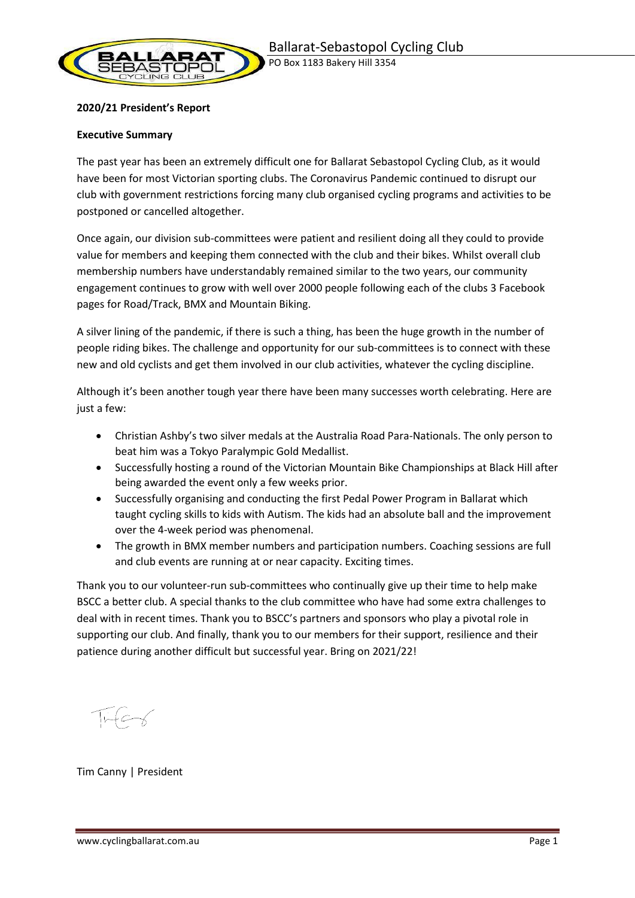

### **2020/21 President's Report**

#### **Executive Summary**

The past year has been an extremely difficult one for Ballarat Sebastopol Cycling Club, as it would have been for most Victorian sporting clubs. The Coronavirus Pandemic continued to disrupt our club with government restrictions forcing many club organised cycling programs and activities to be postponed or cancelled altogether.

Once again, our division sub-committees were patient and resilient doing all they could to provide value for members and keeping them connected with the club and their bikes. Whilst overall club membership numbers have understandably remained similar to the two years, our community engagement continues to grow with well over 2000 people following each of the clubs 3 Facebook pages for Road/Track, BMX and Mountain Biking.

A silver lining of the pandemic, if there is such a thing, has been the huge growth in the number of people riding bikes. The challenge and opportunity for our sub-committees is to connect with these new and old cyclists and get them involved in our club activities, whatever the cycling discipline.

Although it's been another tough year there have been many successes worth celebrating. Here are just a few:

- Christian Ashby's two silver medals at the Australia Road Para-Nationals. The only person to beat him was a Tokyo Paralympic Gold Medallist.
- Successfully hosting a round of the Victorian Mountain Bike Championships at Black Hill after being awarded the event only a few weeks prior.
- Successfully organising and conducting the first Pedal Power Program in Ballarat which taught cycling skills to kids with Autism. The kids had an absolute ball and the improvement over the 4-week period was phenomenal.
- The growth in BMX member numbers and participation numbers. Coaching sessions are full and club events are running at or near capacity. Exciting times.

Thank you to our volunteer-run sub-committees who continually give up their time to help make BSCC a better club. A special thanks to the club committee who have had some extra challenges to deal with in recent times. Thank you to BSCC's partners and sponsors who play a pivotal role in supporting our club. And finally, thank you to our members for their support, resilience and their patience during another difficult but successful year. Bring on 2021/22!

Tim Canny | President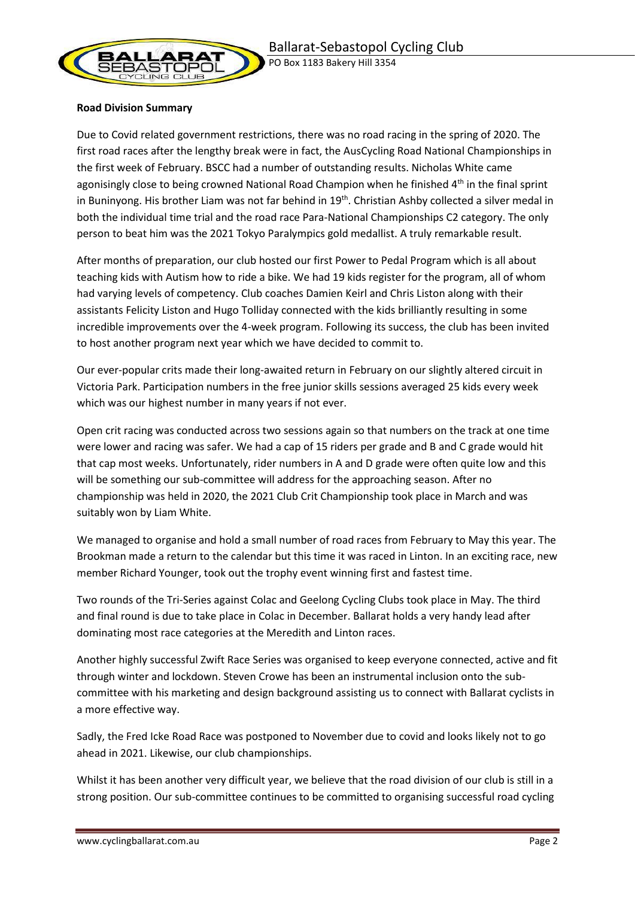

### **Road Division Summary**

Due to Covid related government restrictions, there was no road racing in the spring of 2020. The first road races after the lengthy break were in fact, the AusCycling Road National Championships in the first week of February. BSCC had a number of outstanding results. Nicholas White came agonisingly close to being crowned National Road Champion when he finished 4<sup>th</sup> in the final sprint in Buninyong. His brother Liam was not far behind in 19<sup>th</sup>. Christian Ashby collected a silver medal in both the individual time trial and the road race Para-National Championships C2 category. The only person to beat him was the 2021 Tokyo Paralympics gold medallist. A truly remarkable result.

After months of preparation, our club hosted our first Power to Pedal Program which is all about teaching kids with Autism how to ride a bike. We had 19 kids register for the program, all of whom had varying levels of competency. Club coaches Damien Keirl and Chris Liston along with their assistants Felicity Liston and Hugo Tolliday connected with the kids brilliantly resulting in some incredible improvements over the 4-week program. Following its success, the club has been invited to host another program next year which we have decided to commit to.

Our ever-popular crits made their long-awaited return in February on our slightly altered circuit in Victoria Park. Participation numbers in the free junior skills sessions averaged 25 kids every week which was our highest number in many years if not ever.

Open crit racing was conducted across two sessions again so that numbers on the track at one time were lower and racing was safer. We had a cap of 15 riders per grade and B and C grade would hit that cap most weeks. Unfortunately, rider numbers in A and D grade were often quite low and this will be something our sub-committee will address for the approaching season. After no championship was held in 2020, the 2021 Club Crit Championship took place in March and was suitably won by Liam White.

We managed to organise and hold a small number of road races from February to May this year. The Brookman made a return to the calendar but this time it was raced in Linton. In an exciting race, new member Richard Younger, took out the trophy event winning first and fastest time.

Two rounds of the Tri-Series against Colac and Geelong Cycling Clubs took place in May. The third and final round is due to take place in Colac in December. Ballarat holds a very handy lead after dominating most race categories at the Meredith and Linton races.

Another highly successful Zwift Race Series was organised to keep everyone connected, active and fit through winter and lockdown. Steven Crowe has been an instrumental inclusion onto the subcommittee with his marketing and design background assisting us to connect with Ballarat cyclists in a more effective way.

Sadly, the Fred Icke Road Race was postponed to November due to covid and looks likely not to go ahead in 2021. Likewise, our club championships.

Whilst it has been another very difficult year, we believe that the road division of our club is still in a strong position. Our sub-committee continues to be committed to organising successful road cycling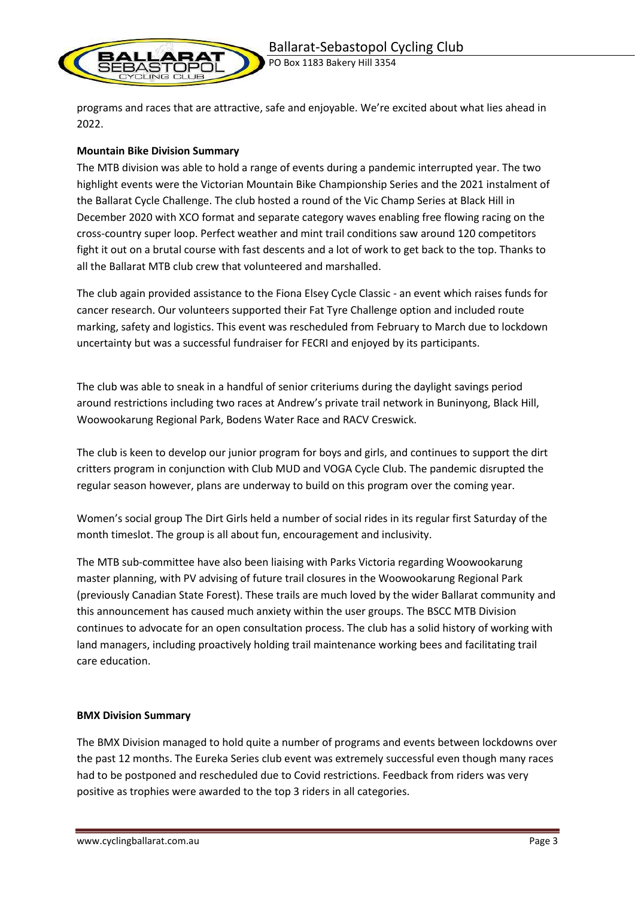

PO Box 1183 Bakery Hill 3354

programs and races that are attractive, safe and enjoyable. We're excited about what lies ahead in 2022.

## **Mountain Bike Division Summary**

The MTB division was able to hold a range of events during a pandemic interrupted year. The two highlight events were the Victorian Mountain Bike Championship Series and the 2021 instalment of the Ballarat Cycle Challenge. The club hosted a round of the Vic Champ Series at Black Hill in December 2020 with XCO format and separate category waves enabling free flowing racing on the cross-country super loop. Perfect weather and mint trail conditions saw around 120 competitors fight it out on a brutal course with fast descents and a lot of work to get back to the top. Thanks to all the Ballarat MTB club crew that volunteered and marshalled.

The club again provided assistance to the Fiona Elsey Cycle Classic - an event which raises funds for cancer research. Our volunteers supported their Fat Tyre Challenge option and included route marking, safety and logistics. This event was rescheduled from February to March due to lockdown uncertainty but was a successful fundraiser for FECRI and enjoyed by its participants.

The club was able to sneak in a handful of senior criteriums during the daylight savings period around restrictions including two races at Andrew's private trail network in Buninyong, Black Hill, Woowookarung Regional Park, Bodens Water Race and RACV Creswick.

The club is keen to develop our junior program for boys and girls, and continues to support the dirt critters program in conjunction with Club MUD and VOGA Cycle Club. The pandemic disrupted the regular season however, plans are underway to build on this program over the coming year.

Women's social group The Dirt Girls held a number of social rides in its regular first Saturday of the month timeslot. The group is all about fun, encouragement and inclusivity.

The MTB sub-committee have also been liaising with Parks Victoria regarding Woowookarung master planning, with PV advising of future trail closures in the Woowookarung Regional Park (previously Canadian State Forest). These trails are much loved by the wider Ballarat community and this announcement has caused much anxiety within the user groups. The BSCC MTB Division continues to advocate for an open consultation process. The club has a solid history of working with land managers, including proactively holding trail maintenance working bees and facilitating trail care education.

### **BMX Division Summary**

The BMX Division managed to hold quite a number of programs and events between lockdowns over the past 12 months. The Eureka Series club event was extremely successful even though many races had to be postponed and rescheduled due to Covid restrictions. Feedback from riders was very positive as trophies were awarded to the top 3 riders in all categories.